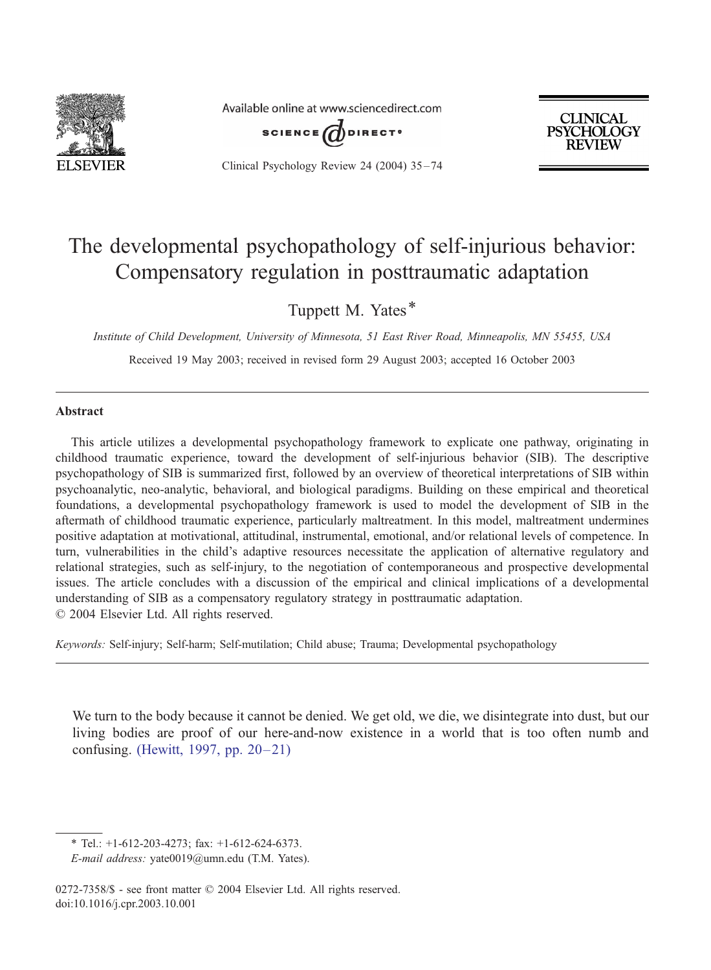

Available online at www.sciencedirect.com



Clinical Psychology Review 24 (2004) 35 – 74



## The developmental psychopathology of self-injurious behavior: Compensatory regulation in posttraumatic adaptation

Tuppett M. Yates\*

Institute of Child Development, University of Minnesota, 51 East River Road, Minneapolis, MN 55455, USA

Received 19 May 2003; received in revised form 29 August 2003; accepted 16 October 2003

#### Abstract

This article utilizes a developmental psychopathology framework to explicate one pathway, originating in childhood traumatic experience, toward the development of self-injurious behavior (SIB). The descriptive psychopathology of SIB is summarized first, followed by an overview of theoretical interpretations of SIB within psychoanalytic, neo-analytic, behavioral, and biological paradigms. Building on these empirical and theoretical foundations, a developmental psychopathology framework is used to model the development of SIB in the aftermath of childhood traumatic experience, particularly maltreatment. In this model, maltreatment undermines positive adaptation at motivational, attitudinal, instrumental, emotional, and/or relational levels of competence. In turn, vulnerabilities in the child's adaptive resources necessitate the application of alternative regulatory and relational strategies, such as self-injury, to the negotiation of contemporaneous and prospective developmental issues. The article concludes with a discussion of the empirical and clinical implications of a developmental understanding of SIB as a compensatory regulatory strategy in posttraumatic adaptation.  $© 2004 Elsevier Ltd. All rights reserved.$ 

Keywords: Self-injury; Self-harm; Self-mutilation; Child abuse; Trauma; Developmental psychopathology

We turn to the body because it cannot be denied. We get old, we die, we disintegrate into dust, but our living bodies are proof of our here-and-now existence in a world that is too often numb and confusing. [\(Hewitt, 1997, pp. 20–21\)](#page--1-0)

<sup>\*</sup> Tel.: +1-612-203-4273; fax: +1-612-624-6373.

E-mail address: yate0019@umn.edu (T.M. Yates).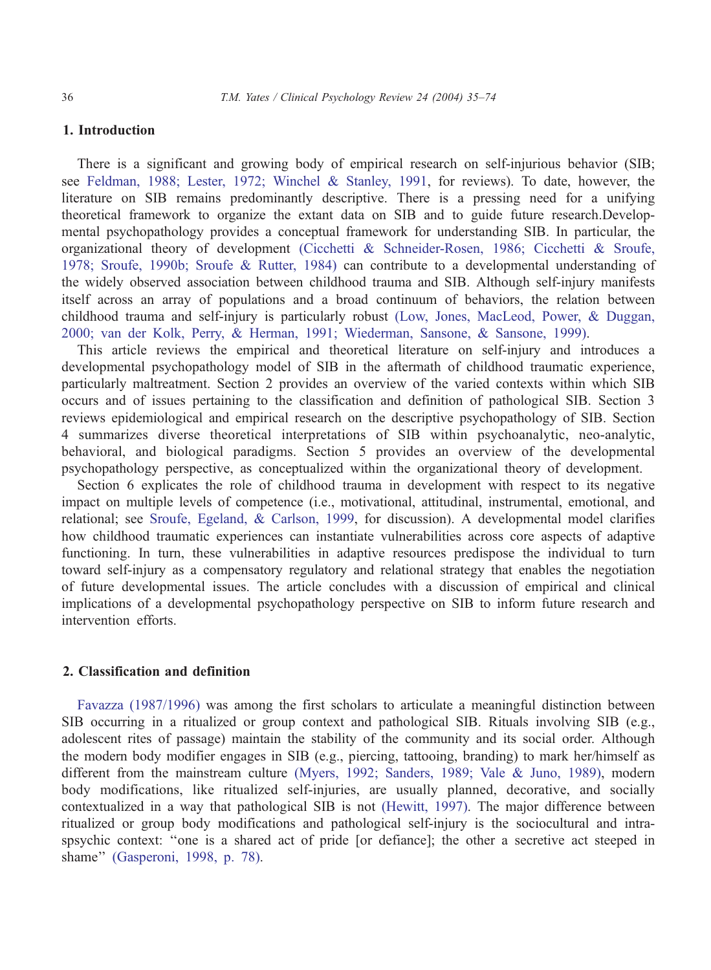#### 1. Introduction

There is a significant and growing body of empirical research on self-injurious behavior (SIB; see [Feldman, 1988; Lester, 1972; Winchel & Stanley, 1991,](#page--1-0) for reviews). To date, however, the literature on SIB remains predominantly descriptive. There is a pressing need for a unifying theoretical framework to organize the extant data on SIB and to guide future research.Developmental psychopathology provides a conceptual framework for understanding SIB. In particular, the organizational theory of development [\(Cicchetti & Schneider-Rosen, 1986; Cicchetti & Sroufe,](#page--1-0) 1978; Sroufe, 1990b; Sroufe & Rutter, 1984) can contribute to a developmental understanding of the widely observed association between childhood trauma and SIB. Although self-injury manifests itself across an array of populations and a broad continuum of behaviors, the relation between childhood trauma and self-injury is particularly robust [\(Low, Jones, MacLeod, Power, & Duggan,](#page--1-0) 2000; van der Kolk, Perry, & Herman, 1991; Wiederman, Sansone, & Sansone, 1999).

This article reviews the empirical and theoretical literature on self-injury and introduces a developmental psychopathology model of SIB in the aftermath of childhood traumatic experience, particularly maltreatment. Section 2 provides an overview of the varied contexts within which SIB occurs and of issues pertaining to the classification and definition of pathological SIB. Section 3 reviews epidemiological and empirical research on the descriptive psychopathology of SIB. Section 4 summarizes diverse theoretical interpretations of SIB within psychoanalytic, neo-analytic, behavioral, and biological paradigms. Section 5 provides an overview of the developmental psychopathology perspective, as conceptualized within the organizational theory of development.

Section 6 explicates the role of childhood trauma in development with respect to its negative impact on multiple levels of competence (i.e., motivational, attitudinal, instrumental, emotional, and relational; see [Sroufe, Egeland, & Carlson, 1999,](#page--1-0) for discussion). A developmental model clarifies how childhood traumatic experiences can instantiate vulnerabilities across core aspects of adaptive functioning. In turn, these vulnerabilities in adaptive resources predispose the individual to turn toward self-injury as a compensatory regulatory and relational strategy that enables the negotiation of future developmental issues. The article concludes with a discussion of empirical and clinical implications of a developmental psychopathology perspective on SIB to inform future research and intervention efforts.

### 2. Classification and definition

[Favazza \(1987/1996\)](#page--1-0) was among the first scholars to articulate a meaningful distinction between SIB occurring in a ritualized or group context and pathological SIB. Rituals involving SIB (e.g., adolescent rites of passage) maintain the stability of the community and its social order. Although the modern body modifier engages in SIB (e.g., piercing, tattooing, branding) to mark her/himself as different from the mainstream culture [\(Myers, 1992; Sanders, 1989; Vale & Juno, 1989\),](#page--1-0) modern body modifications, like ritualized self-injuries, are usually planned, decorative, and socially contextualized in a way that pathological SIB is not [\(Hewitt, 1997\).](#page--1-0) The major difference between ritualized or group body modifications and pathological self-injury is the sociocultural and intraspsychic context: ''one is a shared act of pride [or defiance]; the other a secretive act steeped in shame'' [\(Gasperoni, 1998, p. 78\).](#page--1-0)